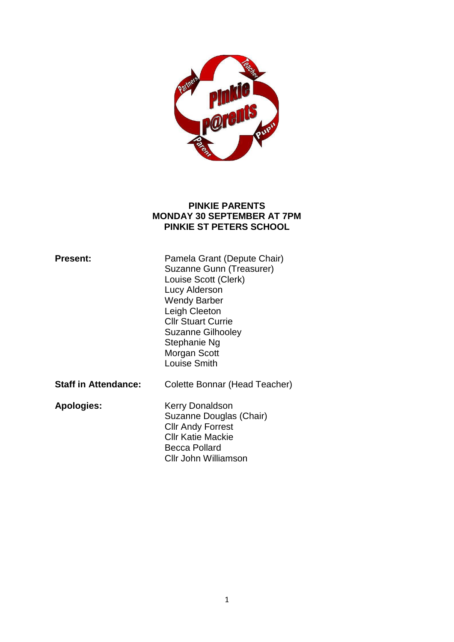

### **PINKIE PARENTS MONDAY 30 SEPTEMBER AT 7PM PINKIE ST PETERS SCHOOL**

| <b>Present:</b>             | Pamela Grant (Depute Chair)<br>Suzanne Gunn (Treasurer)<br>Louise Scott (Clerk)<br>Lucy Alderson<br><b>Wendy Barber</b><br>Leigh Cleeton<br><b>Cllr Stuart Currie</b><br><b>Suzanne Gilhooley</b><br>Stephanie Ng<br>Morgan Scott<br>Louise Smith |
|-----------------------------|---------------------------------------------------------------------------------------------------------------------------------------------------------------------------------------------------------------------------------------------------|
| <b>Staff in Attendance:</b> | Colette Bonnar (Head Teacher)                                                                                                                                                                                                                     |
| <b>Apologies:</b>           | Kerry Donaldson<br>Suzanne Douglas (Chair)<br><b>Cllr Andy Forrest</b><br><b>CIIr Katie Mackie</b><br><b>Becca Pollard</b><br>Cllr John Williamson                                                                                                |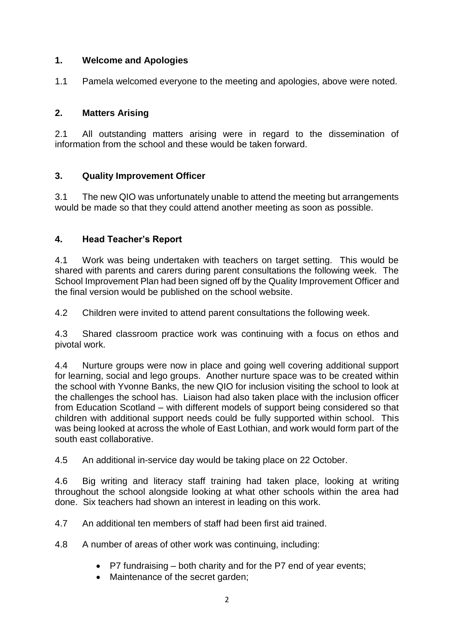# **1. Welcome and Apologies**

1.1 Pamela welcomed everyone to the meeting and apologies, above were noted.

# **2. Matters Arising**

2.1 All outstanding matters arising were in regard to the dissemination of information from the school and these would be taken forward.

## **3. Quality Improvement Officer**

3.1 The new QIO was unfortunately unable to attend the meeting but arrangements would be made so that they could attend another meeting as soon as possible.

## **4. Head Teacher's Report**

4.1 Work was being undertaken with teachers on target setting. This would be shared with parents and carers during parent consultations the following week. The School Improvement Plan had been signed off by the Quality Improvement Officer and the final version would be published on the school website.

4.2 Children were invited to attend parent consultations the following week.

4.3 Shared classroom practice work was continuing with a focus on ethos and pivotal work.

4.4 Nurture groups were now in place and going well covering additional support for learning, social and lego groups. Another nurture space was to be created within the school with Yvonne Banks, the new QIO for inclusion visiting the school to look at the challenges the school has. Liaison had also taken place with the inclusion officer from Education Scotland – with different models of support being considered so that children with additional support needs could be fully supported within school. This was being looked at across the whole of East Lothian, and work would form part of the south east collaborative.

4.5 An additional in-service day would be taking place on 22 October.

4.6 Big writing and literacy staff training had taken place, looking at writing throughout the school alongside looking at what other schools within the area had done. Six teachers had shown an interest in leading on this work.

4.7 An additional ten members of staff had been first aid trained.

4.8 A number of areas of other work was continuing, including:

- P7 fundraising both charity and for the P7 end of year events;
- Maintenance of the secret garden;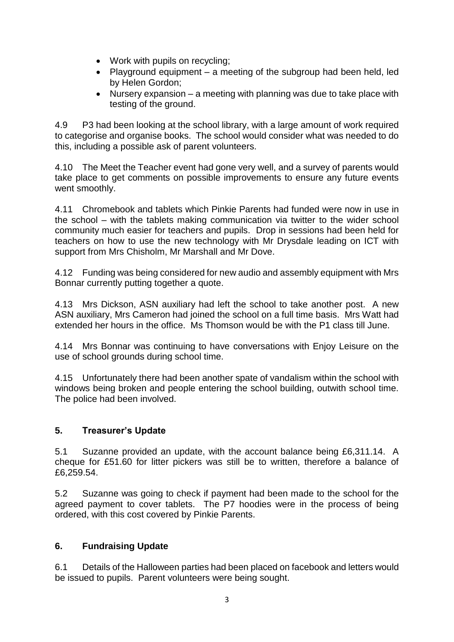- Work with pupils on recycling;
- Playground equipment a meeting of the subgroup had been held, led by Helen Gordon;
- Nursery expansion a meeting with planning was due to take place with testing of the ground.

4.9 P3 had been looking at the school library, with a large amount of work required to categorise and organise books. The school would consider what was needed to do this, including a possible ask of parent volunteers.

4.10 The Meet the Teacher event had gone very well, and a survey of parents would take place to get comments on possible improvements to ensure any future events went smoothly.

4.11 Chromebook and tablets which Pinkie Parents had funded were now in use in the school – with the tablets making communication via twitter to the wider school community much easier for teachers and pupils. Drop in sessions had been held for teachers on how to use the new technology with Mr Drysdale leading on ICT with support from Mrs Chisholm, Mr Marshall and Mr Dove.

4.12 Funding was being considered for new audio and assembly equipment with Mrs Bonnar currently putting together a quote.

4.13 Mrs Dickson, ASN auxiliary had left the school to take another post. A new ASN auxiliary, Mrs Cameron had joined the school on a full time basis. Mrs Watt had extended her hours in the office. Ms Thomson would be with the P1 class till June.

4.14 Mrs Bonnar was continuing to have conversations with Enjoy Leisure on the use of school grounds during school time.

4.15 Unfortunately there had been another spate of vandalism within the school with windows being broken and people entering the school building, outwith school time. The police had been involved.

### **5. Treasurer's Update**

5.1 Suzanne provided an update, with the account balance being £6,311.14. A cheque for £51.60 for litter pickers was still be to written, therefore a balance of £6,259.54.

5.2 Suzanne was going to check if payment had been made to the school for the agreed payment to cover tablets. The P7 hoodies were in the process of being ordered, with this cost covered by Pinkie Parents.

### **6. Fundraising Update**

6.1 Details of the Halloween parties had been placed on facebook and letters would be issued to pupils. Parent volunteers were being sought.